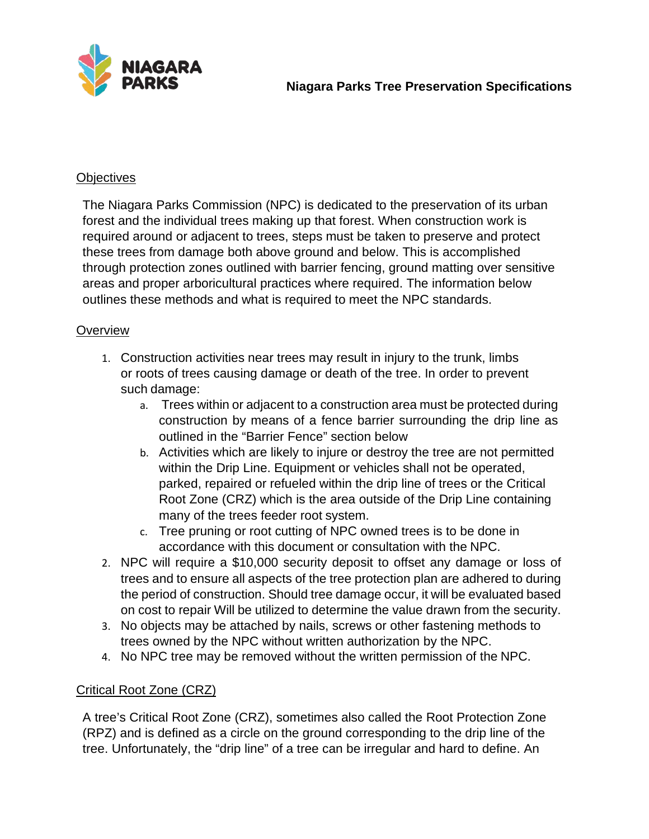

### **Objectives**

The Niagara Parks Commission (NPC) is dedicated to the preservation of its urban forest and the individual trees making up that forest. When construction work is required around or adjacent to trees, steps must be taken to preserve and protect these trees from damage both above ground and below. This is accomplished through protection zones outlined with barrier fencing, ground matting over sensitive areas and proper arboricultural practices where required. The information below outlines these methods and what is required to meet the NPC standards.

### **Overview**

- 1. Construction activities near trees may result in injury to the trunk, limbs or roots of trees causing damage or death of the tree. In order to prevent such damage:
	- a. Trees within or adjacent to a construction area must be protected during construction by means of a fence barrier surrounding the drip line as outlined in the "Barrier Fence" section below
	- b. Activities which are likely to injure or destroy the tree are not permitted within the Drip Line. Equipment or vehicles shall not be operated, parked, repaired or refueled within the drip line of trees or the Critical Root Zone (CRZ) which is the area outside of the Drip Line containing many of the trees feeder root system.
	- c. Tree pruning or root cutting of NPC owned trees is to be done in accordance with this document or consultation with the NPC.
- 2. NPC will require a \$10,000 security deposit to offset any damage or loss of trees and to ensure all aspects of the tree protection plan are adhered to during the period of construction. Should tree damage occur, it will be evaluated based on cost to repair Will be utilized to determine the value drawn from the security.
- 3. No objects may be attached by nails, screws or other fastening methods to trees owned by the NPC without written authorization by the NPC.
- 4. No NPC tree may be removed without the written permission of the NPC.

## Critical Root Zone (CRZ)

A tree's Critical Root Zone (CRZ), sometimes also called the Root Protection Zone (RPZ) and is defined as a circle on the ground corresponding to the drip line of the tree. Unfortunately, the "drip line" of a tree can be irregular and hard to define. An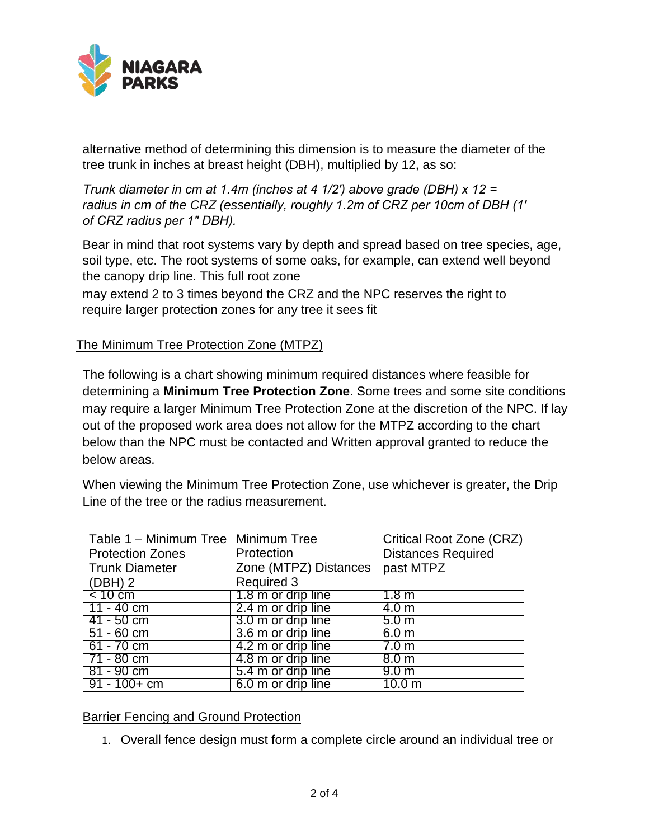

alternative method of determining this dimension is to measure the diameter of the tree trunk in inches at breast height (DBH), multiplied by 12, as so:

*Trunk diameter in cm at 1.4m (inches at 4 1/2′) above grade (DBH) x 12 = radius in cm of the CRZ (essentially, roughly 1.2m of CRZ per 10cm of DBH (1′ of CRZ radius per 1″ DBH).*

Bear in mind that root systems vary by depth and spread based on tree species, age, soil type, etc. The root systems of some oaks, for example, can extend well beyond the canopy drip line. This full root zone

may extend 2 to 3 times beyond the CRZ and the NPC reserves the right to require larger protection zones for any tree it sees fit

## The Minimum Tree Protection Zone (MTPZ)

The following is a chart showing minimum required distances where feasible for determining a **Minimum Tree Protection Zone**. Some trees and some site conditions may require a larger Minimum Tree Protection Zone at the discretion of the NPC. If lay out of the proposed work area does not allow for the MTPZ according to the chart below than the NPC must be contacted and Written approval granted to reduce the below areas.

When viewing the Minimum Tree Protection Zone, use whichever is greater, the Drip Line of the tree or the radius measurement.

| Table 1 - Minimum Tree Minimum Tree |                       | <b>Critical Root Zone (CRZ)</b> |
|-------------------------------------|-----------------------|---------------------------------|
| <b>Protection Zones</b>             | Protection            | <b>Distances Required</b>       |
| <b>Trunk Diameter</b>               | Zone (MTPZ) Distances | past MTPZ                       |
| $(DBH)$ 2                           | <b>Required 3</b>     |                                 |
| $\leq 10 \text{ cm}$                | 1.8 m or drip line    | 1.8 <sub>m</sub>                |
| 11 - 40 cm                          | 2.4 m or drip line    | 4.0 <sub>m</sub>                |
| 41 - 50 cm                          | 3.0 m or drip line    | 5.0 <sub>m</sub>                |
| $51 - 60$ cm                        | 3.6 m or drip line    | 6.0 <sub>m</sub>                |
| 61 - 70 cm                          | 4.2 m or drip line    | 7.0 m                           |
| 71 - 80 cm                          | 4.8 m or drip line    | 8.0 <sub>m</sub>                |
| $81 - 90$ cm                        | 5.4 m or drip line    | 9.0 <sub>m</sub>                |
| $91 - 100 + cm$                     | 6.0 m or drip line    | 10.0 m                          |

Barrier Fencing and Ground Protection

1. Overall fence design must form a complete circle around an individual tree or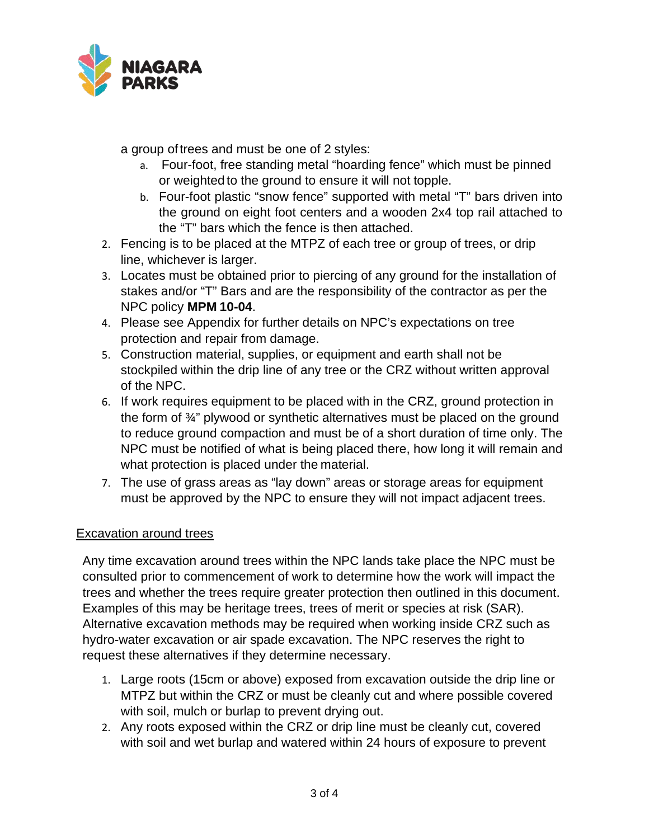

a group oftrees and must be one of 2 styles:

- a. Four-foot, free standing metal "hoarding fence" which must be pinned or weighted to the ground to ensure it will not topple.
- b. Four-foot plastic "snow fence" supported with metal "T" bars driven into the ground on eight foot centers and a wooden 2x4 top rail attached to the "T" bars which the fence is then attached.
- 2. Fencing is to be placed at the MTPZ of each tree or group of trees, or drip line, whichever is larger.
- 3. Locates must be obtained prior to piercing of any ground for the installation of stakes and/or "T" Bars and are the responsibility of the contractor as per the NPC policy **MPM 10-04**.
- 4. Please see Appendix for further details on NPC's expectations on tree protection and repair from damage.
- 5. Construction material, supplies, or equipment and earth shall not be stockpiled within the drip line of any tree or the CRZ without written approval of the NPC.
- 6. If work requires equipment to be placed with in the CRZ, ground protection in the form of ¾" plywood or synthetic alternatives must be placed on the ground to reduce ground compaction and must be of a short duration of time only. The NPC must be notified of what is being placed there, how long it will remain and what protection is placed under the material.
- 7. The use of grass areas as "lay down" areas or storage areas for equipment must be approved by the NPC to ensure they will not impact adjacent trees.

## Excavation around trees

Any time excavation around trees within the NPC lands take place the NPC must be consulted prior to commencement of work to determine how the work will impact the trees and whether the trees require greater protection then outlined in this document. Examples of this may be heritage trees, trees of merit or species at risk (SAR). Alternative excavation methods may be required when working inside CRZ such as hydro-water excavation or air spade excavation. The NPC reserves the right to request these alternatives if they determine necessary.

- 1. Large roots (15cm or above) exposed from excavation outside the drip line or MTPZ but within the CRZ or must be cleanly cut and where possible covered with soil, mulch or burlap to prevent drying out.
- 2. Any roots exposed within the CRZ or drip line must be cleanly cut, covered with soil and wet burlap and watered within 24 hours of exposure to prevent